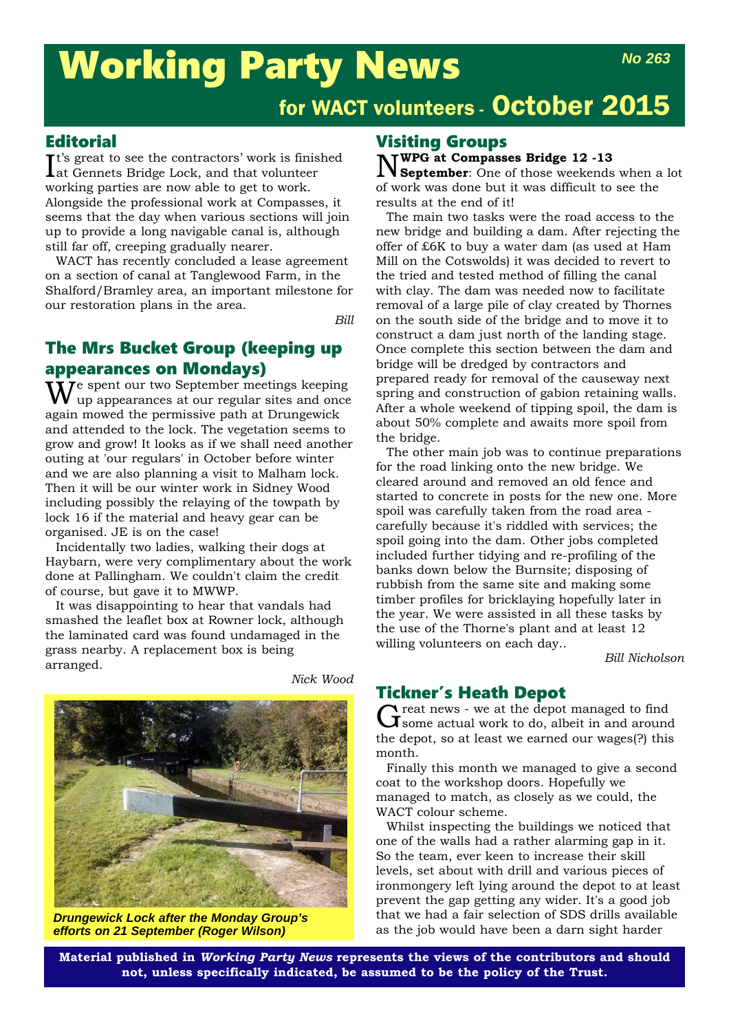# Working Party News

#### **Editorial**

I t's great to see the contractors' work is finished at Gennets Bridge Lock, and that volunteer working parties are now able to get to work. Alongside the professional work at Compasses, it seems that the day when various sections will join up to provide a long navigable canal is, although still far off, creeping gradually nearer.

WACT has recently concluded a lease agreement on a section of canal at Tanglewood Farm, in the Shalford/Bramley area, an important milestone for our restoration plans in the area.

*Bill*

### The Mrs Bucket Group (keeping up appearances on Mondays)

 $\widetilde{W}$ e spent our two September meetings keeping up appearances at our regular sites and once again mowed the permissive path at Drungewick and attended to the lock. The vegetation seems to grow and grow! It looks as if we shall need another outing at 'our regulars' in October before winter and we are also planning a visit to Malham lock. Then it will be our winter work in Sidney Wood including possibly the relaying of the towpath by lock 16 if the material and heavy gear can be organised. JE is on the case!

Incidentally two ladies, walking their dogs at Haybarn, were very complimentary about the work done at Pallingham. We couldn't claim the credit of course, but gave it to MWWP.

It was disappointing to hear that vandals had smashed the leaflet box at Rowner lock, although the laminated card was found undamaged in the grass nearby. A replacement box is being arranged.

*Nick Wood*



*Drungewick Lock after the Monday Group's efforts on 21 September (Roger Wilson)*

#### Visiting Groups

N**WPG at Compasses Bridge 12 -13 September**: One of those weekends when a lot of work was done but it was difficult to see the results at the end of it!

The main two tasks were the road access to the new bridge and building a dam. After rejecting the offer of £6K to buy a water dam (as used at Ham Mill on the Cotswolds) it was decided to revert to the tried and tested method of filling the canal with clay. The dam was needed now to facilitate removal of a large pile of clay created by Thornes on the south side of the bridge and to move it to construct a dam just north of the landing stage. Once complete this section between the dam and bridge will be dredged by contractors and prepared ready for removal of the causeway next spring and construction of gabion retaining walls. After a whole weekend of tipping spoil, the dam is about 50% complete and awaits more spoil from the bridge.

The other main job was to continue preparations for the road linking onto the new bridge. We cleared around and removed an old fence and started to concrete in posts for the new one. More spoil was carefully taken from the road area carefully because it's riddled with services; the spoil going into the dam. Other jobs completed included further tidying and re-profiling of the banks down below the Burnsite; disposing of rubbish from the same site and making some timber profiles for bricklaying hopefully later in the year. We were assisted in all these tasks by the use of the Thorne's plant and at least 12 willing volunteers on each day..

*Bill Nicholson*

#### Tickner's Heath Depot

Great news - we at the depot managed to find<br>
Greene actual work to do, albeit in and around the depot, so at least we earned our wages(?) this month.

Finally this month we managed to give a second coat to the workshop doors. Hopefully we managed to match, as closely as we could, the WACT colour scheme.

Whilst inspecting the buildings we noticed that one of the walls had a rather alarming gap in it. So the team, ever keen to increase their skill levels, set about with drill and various pieces of ironmongery left lying around the depot to at least prevent the gap getting any wider. It's a good job that we had a fair selection of SDS drills available as the job would have been a darn sight harder

**Material published in** *Working Party News* **represents the views of the contributors and should not, unless specifically indicated, be assumed to be the policy of the Trust.**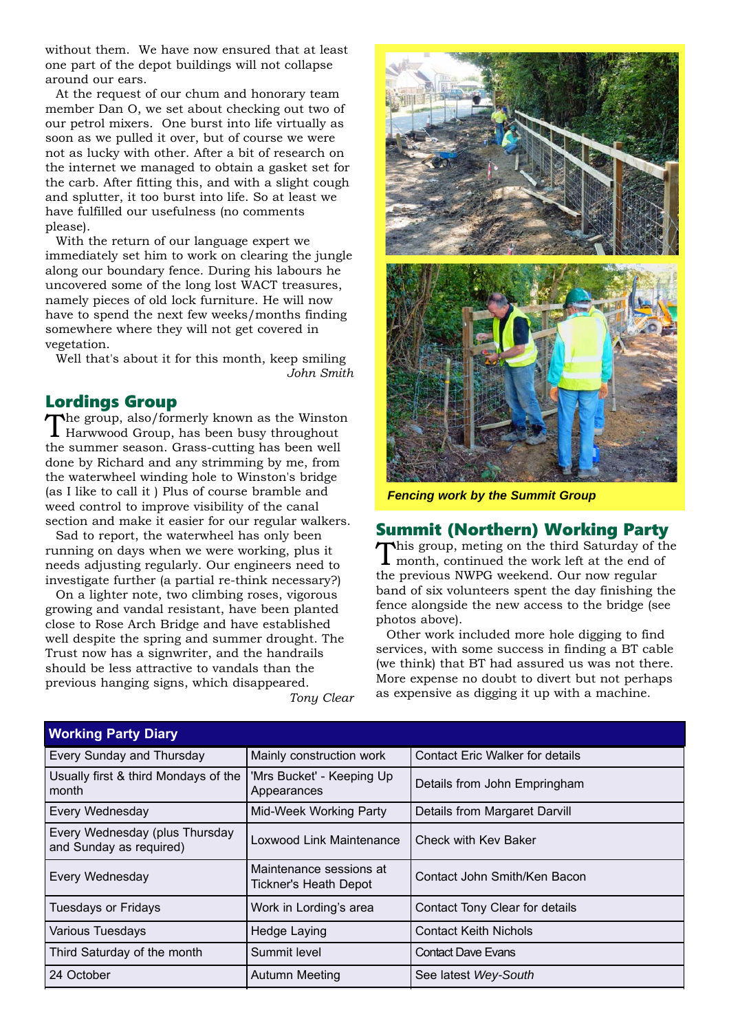without them. We have now ensured that at least one part of the depot buildings will not collapse around our ears.

At the request of our chum and honorary team member Dan O, we set about checking out two of our petrol mixers. One burst into life virtually as soon as we pulled it over, but of course we were not as lucky with other. After a bit of research on the internet we managed to obtain a gasket set for the carb. After fitting this, and with a slight cough and splutter, it too burst into life. So at least we have fulfilled our usefulness (no comments please).

With the return of our language expert we immediately set him to work on clearing the jungle along our boundary fence. During his labours he uncovered some of the long lost WACT treasures, namely pieces of old lock furniture. He will now have to spend the next few weeks/months finding somewhere where they will not get covered in vegetation.

Well that's about it for this month, keep smiling *John Smith*

#### Lordings Group

The group, also/formerly known as the Winston Harwwood Group, has been busy throughout the summer season. Grass-cutting has been well done by Richard and any strimming by me, from the waterwheel winding hole to Winston's bridge (as I like to call it ) Plus of course bramble and weed control to improve visibility of the canal section and make it easier for our regular walkers.

Sad to report, the waterwheel has only been running on days when we were working, plus it needs adjusting regularly. Our engineers need to investigate further (a partial re-think necessary?)

On a lighter note, two climbing roses, vigorous growing and vandal resistant, have been planted close to Rose Arch Bridge and have established well despite the spring and summer drought. The Trust now has a signwriter, and the handrails should be less attractive to vandals than the previous hanging signs, which disappeared.





*Fencing work by the Summit Group*

#### Summit (Northern) Working Party

This group, meting on the third Saturday of the month, continued the work left at the end of the previous NWPG weekend. Our now regular band of six volunteers spent the day finishing the fence alongside the new access to the bridge (see photos above).

Other work included more hole digging to find services, with some success in finding a BT cable (we think) that BT had assured us was not there. More expense no doubt to divert but not perhaps as expensive as digging it up with a machine.

| <b>Working Party Diary</b>                                |                                                                          |                                        |  |  |
|-----------------------------------------------------------|--------------------------------------------------------------------------|----------------------------------------|--|--|
| Every Sunday and Thursday                                 | Mainly construction work                                                 | <b>Contact Eric Walker for details</b> |  |  |
| Usually first & third Mondays of the<br>month             | 'Mrs Bucket' - Keeping Up<br>Details from John Empringham<br>Appearances |                                        |  |  |
| Every Wednesday                                           | Mid-Week Working Party                                                   | Details from Margaret Darvill          |  |  |
| Every Wednesday (plus Thursday<br>and Sunday as required) | Loxwood Link Maintenance                                                 | Check with Kev Baker                   |  |  |
| Every Wednesday                                           | Maintenance sessions at<br>Tickner's Heath Depot                         | Contact John Smith/Ken Bacon           |  |  |
| <b>Tuesdays or Fridays</b>                                | Work in Lording's area                                                   | Contact Tony Clear for details         |  |  |
| Various Tuesdays                                          | Hedge Laying                                                             | <b>Contact Keith Nichols</b>           |  |  |
| Third Saturday of the month                               | Summit level                                                             | <b>Contact Dave Evans</b>              |  |  |
| 24 October                                                | <b>Autumn Meeting</b>                                                    | See latest Wey-South                   |  |  |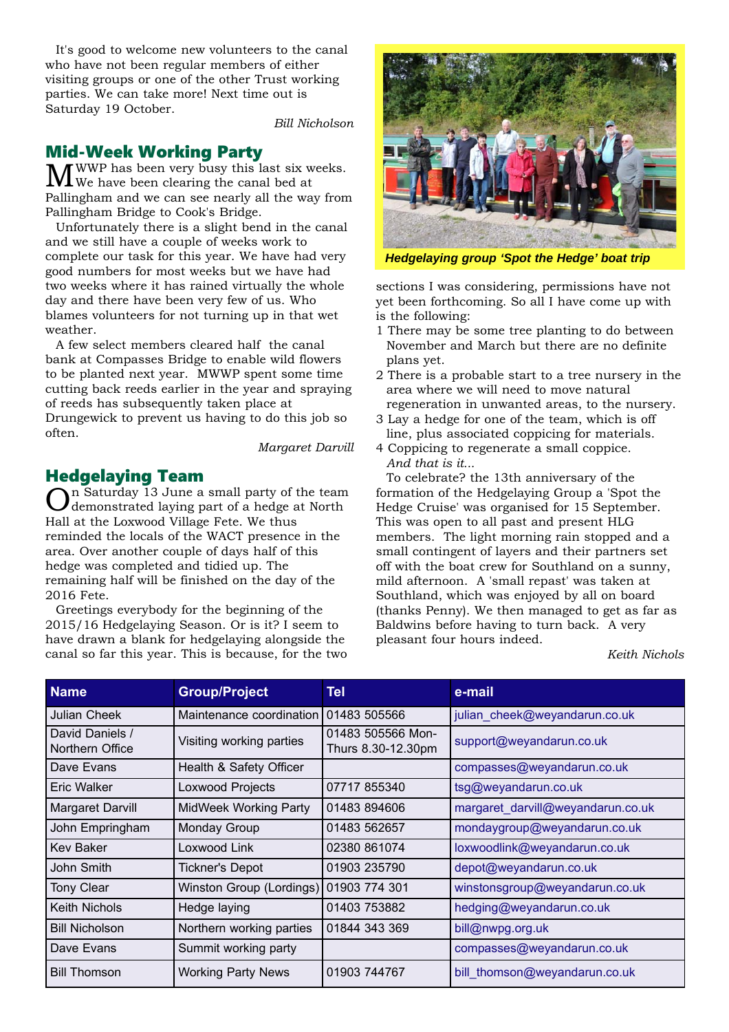It's good to welcome new volunteers to the canal who have not been regular members of either visiting groups or one of the other Trust working parties. We can take more! Next time out is Saturday 19 October.

*Bill Nicholson*

#### Mid-Week Working Party

MWWP has been very busy this last six weeks. We have been clearing the canal bed at Pallingham and we can see nearly all the way from Pallingham Bridge to Cook's Bridge.

Unfortunately there is a slight bend in the canal and we still have a couple of weeks work to complete our task for this year. We have had very good numbers for most weeks but we have had two weeks where it has rained virtually the whole day and there have been very few of us. Who blames volunteers for not turning up in that wet weather.

A few select members cleared half the canal bank at Compasses Bridge to enable wild flowers to be planted next year. MWWP spent some time cutting back reeds earlier in the year and spraying of reeds has subsequently taken place at Drungewick to prevent us having to do this job so often.

*Margaret Darvill*

#### Hedgelaying Team

On Saturday 13 June a small party of the team demonstrated laying part of a hedge at North Hall at the Loxwood Village Fete. We thus reminded the locals of the WACT presence in the area. Over another couple of days half of this hedge was completed and tidied up. The remaining half will be finished on the day of the 2016 Fete.

Greetings everybody for the beginning of the 2015/16 Hedgelaying Season. Or is it? I seem to have drawn a blank for hedgelaying alongside the canal so far this year. This is because, for the two



*Hedgelaying group 'Spot the Hedge' boat trip*

sections I was considering, permissions have not yet been forthcoming. So all I have come up with is the following:

- 1 There may be some tree planting to do between November and March but there are no definite plans yet.
- 2 There is a probable start to a tree nursery in the area where we will need to move natural regeneration in unwanted areas, to the nursery.
- 3 Lay a hedge for one of the team, which is off line, plus associated coppicing for materials.
- 4 Coppicing to regenerate a small coppice. *And that is it...*

To celebrate? the 13th anniversary of the formation of the Hedgelaying Group a 'Spot the Hedge Cruise' was organised for 15 September. This was open to all past and present HLG members. The light morning rain stopped and a small contingent of layers and their partners set off with the boat crew for Southland on a sunny, mild afternoon. A 'small repast' was taken at Southland, which was enjoyed by all on board (thanks Penny). We then managed to get as far as Baldwins before having to turn back. A very pleasant four hours indeed.

*Keith Nichols*

| <b>Name</b>                        | <b>Group/Project</b>         | Tel                                     | e-mail                            |
|------------------------------------|------------------------------|-----------------------------------------|-----------------------------------|
| Julian Cheek                       | Maintenance coordination     | 01483 505566                            | julian cheek@weyandarun.co.uk     |
| David Daniels /<br>Northern Office | Visiting working parties     | 01483 505566 Mon-<br>Thurs 8.30-12.30pm | support@weyandarun.co.uk          |
| Dave Evans                         | Health & Safety Officer      |                                         | compasses@weyandarun.co.uk        |
| Eric Walker                        | Loxwood Projects             | 07717855340                             | tsg@weyandarun.co.uk              |
| Margaret Darvill                   | <b>MidWeek Working Party</b> | 01483 894606                            | margaret_darvill@weyandarun.co.uk |
| John Empringham                    | Monday Group                 | 01483 562657                            | mondaygroup@weyandarun.co.uk      |
| <b>Kev Baker</b>                   | Loxwood Link                 | 02380 861074                            | loxwoodlink@weyandarun.co.uk      |
| John Smith                         | <b>Tickner's Depot</b>       | 01903 235790                            | depot@weyandarun.co.uk            |
| <b>Tony Clear</b>                  | Winston Group (Lordings)     | 01903 774 301                           | winstonsgroup@weyandarun.co.uk    |
| Keith Nichols                      | Hedge laying                 | 01403 753882                            | hedging@weyandarun.co.uk          |
| <b>Bill Nicholson</b>              | Northern working parties     | 01844 343 369                           | bill@nwpg.org.uk                  |
| Dave Evans                         | Summit working party         |                                         | compasses@weyandarun.co.uk        |
| <b>Bill Thomson</b>                | <b>Working Party News</b>    | 01903 744767                            | bill thomson@weyandarun.co.uk     |